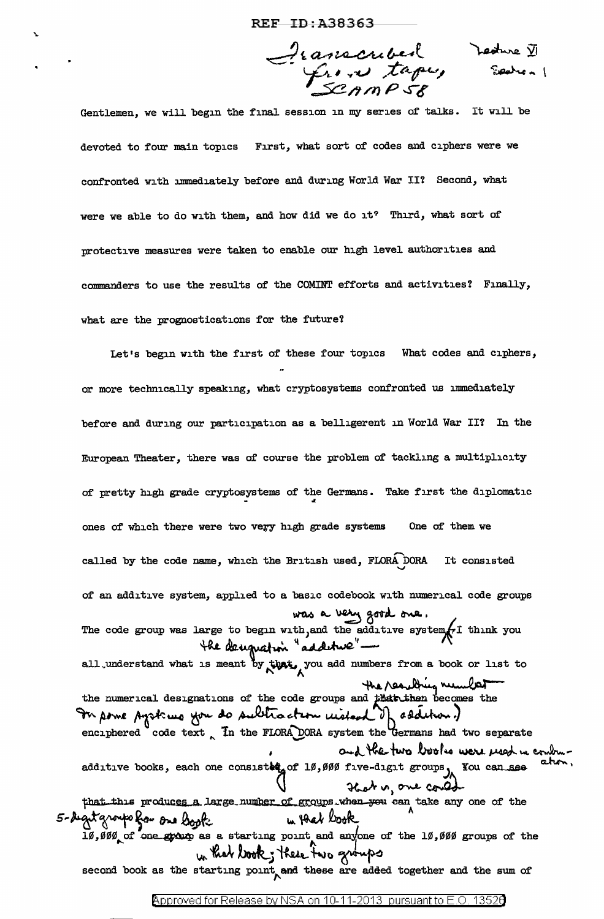$d^{2}$  (anconder) Ledwe  $\overline{v}$ lf-~,\_ ' *.. -'lf..J .::t"?' ....* (F--<.J *,I* ~ ...  $22$ n $m$ P $s$ 8

Gentlemen, we will begin the final session in my series of talks. It will be devoted to four main topics First, what sort of codes and ciphers were we confronted with immediately before and during World War II? Second, what were we able to do with them, and how did we do it? Third, what sort of protective measures were taken to enable our high level authorities and commanders to use the results of the COMINT efforts and activities? Finally, what are the prognostications for the future?

Let's begin with the first of these four topics What codes and ciphers, or more technically speaking, what cryptosystems confronted us immediately before and during our participation as a belligerent in World War II? In the European Theater, there was of course the problem of tackling a multiplicity of pretty high grade cryptosystems of the Germans. Take first the diplomatic ones of which there were two very high grade systems One of them we called by the code name, which the British used, FLORA DORA It consisted of an additive system, applied to a basic codebook with numerical code groups was a very good one. The code group was large to begin with, and the additive system $f$  think you the decugnation "additure"all understand what is meant by that, you add numbers from a book or list to the numerical designations of the code groups and the then becomes the  $\mathbf{v}$   $\mathbf{v}$ mbers from a book or list to<br>the resulting number In pome systems you do subtraction mistand of sadition.) enciphered code text . In the FLORA DORA system the Germans had two separate and the two books were reed in control additive books, each one consister of 10,000 five-digit groups, You can see about,  $\bigvee$  . Hat is one control that this produces a large number of groups when you can take any one of the<br>get groups from one book. What book 5- deget group far oue book II,000, of one group as a starting point and anyone of the 10,000 groups of the  $w$ . Keek just these two groups of the sum of second book as the starting point, and these are added together and the sum of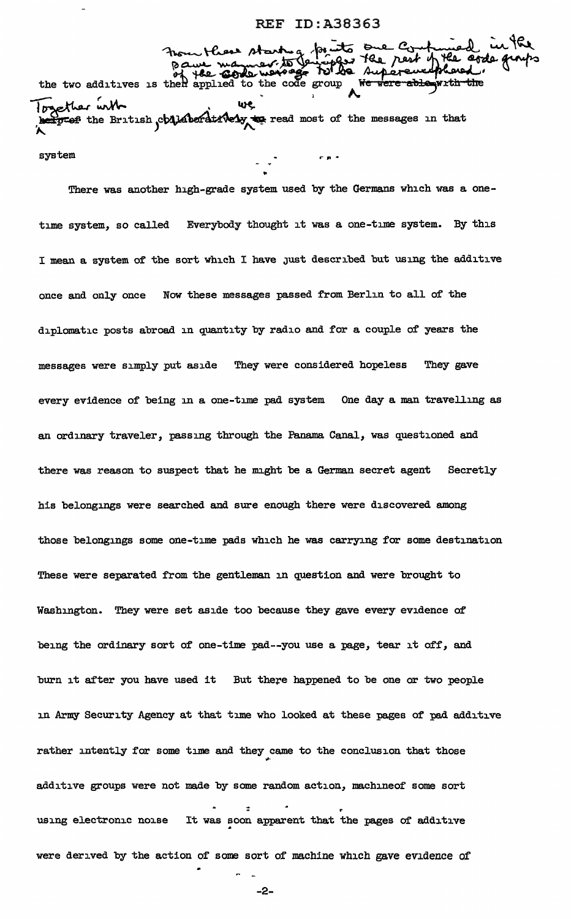- startug prints one Count the two additives is then applied to the code group We were ablement *resether* with logether with we we all the other with Fogether with<br>better the British child be dirively to read most of the messages in that

system ...... ..

There was another high-grade system used by the Germans which was a onetime system, so called Everybody thought it was a one-time system. By this I mean a system of the sort which I have JUst described but using the additive once and only once Now these messages passed from Berlin to all of the diplomatic posts abroad in quantity by radio and for a couple of years the messages were simply put aside They were considered hopeless They gave every evidence of being in a one-time pad system One day a man travelling as an ordinary traveler, passing tbrough the Panama Canal, was questioned and there was reason to suspect that he might be a German secret agent Secretly his belongings were searched and sure enough there were discovered among those belongings some one-time pads which he was carrying for some destination These were separated from the gentleman in question and were brought to Washington. They were set aside too because they gave every evidence of being the ordinary sort of one-time pad--you use a page, tear it off, and burn it after you have used it But there happened to be one or two people in Army Security Agency at that time who looked at these pages of pad additive rather intently for some time and they came to the conclusion that those additive groups were not made by some random action, machineof some sort : using electronic noise It was soon apparent that the pages of additive were derived by the action of some sort of machine which gave evidence of

-2-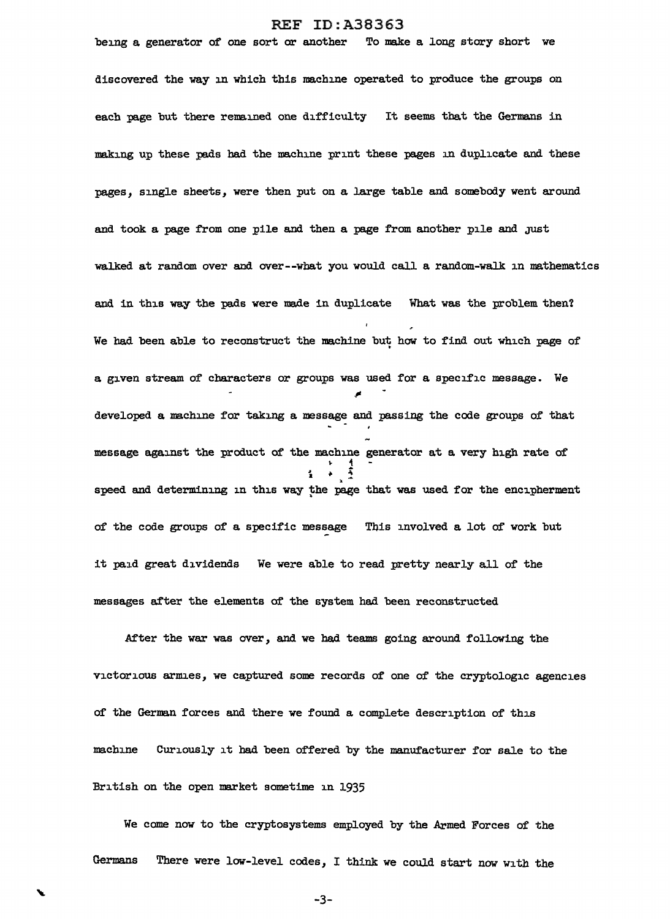being a generator of one sort or another To make a long story short we discovered the way in which this machine operated to produce the groups on each page but there remained one difficulty It seems that the Germans in making up these pads had the machine print these pages in duplicate and these pages, single sheets, were then put on a large table and somebody went around and took a page from one pile and then a page from another pile and just walked at random over and over--what you would call a random-walk in mathematics and in this way the pads were made in duplicate What was the problem then? We had been able to reconstruct the machine but how to find out which page of a given stream of characters or groups was used for a specific message. We .,, developed a machine for taking a message and passing the code groups of that message against the product of tbe machine generator at a very high rate of  $\text{incomplete}$ <br>  $\text{incomplete}$ <br>  $\text{incomplete}$ <br>  $\text{incomplete}$ <br>  $\text{incomplete}$ <br>  $\text{incomplete}$ <br>  $\text{incomplete}$ speed and determining in this way the page that was used for the encipherment of the code groups of a specific message This involved a lot of work but it paid great dividends We were able to read pretty nearly all of the messages after the elements of the system had been reconstructed

After the war was over, and we had teams going around following the victorious armies, we captured some records of' one of the cryptologic agencies of the German forces and there we found a complete description of this machine Curiously it had been offered by the manufacturer for sale to the British on the open market sometime in 1935

We come now to the cryptosystems employed by the Armed Forces of the Germans There were low-level codes, I think we could start now with the

-3-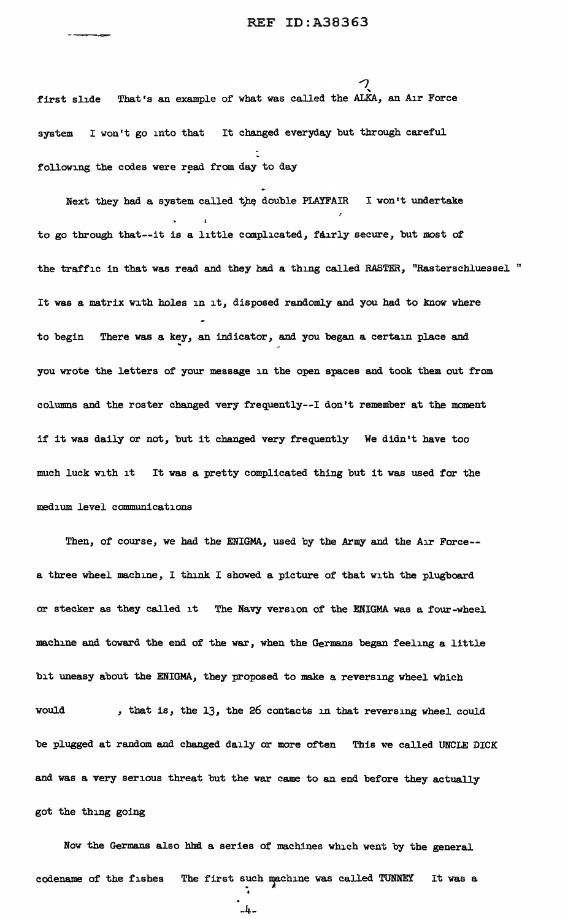first slide That's an example of what was called the ALKA, an Air Force system I won't go into that It changed everyday but through careful following the codes were read from day to day

Next they had a system called the double PLAYFAIR I won't undertake to go through tbat--it is a little complicated, fairly secure, but most of' the traffic in that was read and they had a thing called RASTER, "Rasterschluessel " It was a matrix with holes in it, disposed randomly and you had to know where to begin There was a key, an indicator, and you began a certain place and you wrote the letters of your message in the open spaces and took them out from columns and the roster changed very frequently--I don't remember at the moment if it was daily or not, but it changed very frequently We didn't have too much luck with it It was a pretty complicated thing but it was used for the medium level communications

Then, of course, we had the ENIGMA, used by the Army and the Air Force- a three wheel machine, I think I showed a picture of that with the plugboard or stecker as they called it The Navy version of the ENIGMA was a four-wheel machine and toward the end of the war, when the Germans began feeling a little bit uneasy about the ENIGMA, they proposed to make a reversing wheel which would , that is, the 13, the 26 contacts in that reversing wheel could be plugged at random and changed daily or more often This *we* called UNCLE DICK and was a very serious threat but the war came to an end before they actually got the thing going

Now the Germans also hhd a series of machines which went by the general codename of the fishes The first such machine was called TUNNEY It was a

```
-4-
```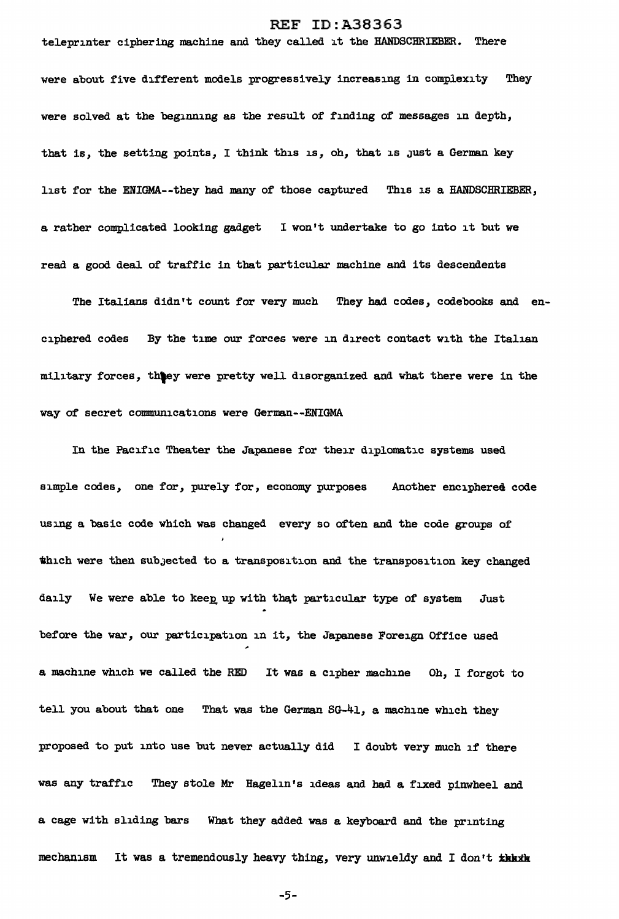teleprinter ciphering machine and they called it the HANDSCHRIEBER. There

were about five different models progressively increasing in complexity They were solved at the beginning as the result of finding of messages in depth, that is, the setting points, I think this is, oh, that is just a German key list for the ENIGMA--they had many of those captured This is a HANDSCHRIEBER, a rather complicated looking gadget I won't undertake to go into it but we read a good deal of traffic in that particular machine and its descendents

The Italians didn't count for very much They bad codes, codebooks and enciphered codes By the time our forces were in direct contact with the Italian military forces, thtey were pretty well disorganized and what there were in the way of secret communications were German--ENIGMA

In the Pacific Theater the Japanese for their diplomatic systems used simple codes, one for, purely for, economy purposes Another enciphered code using a basic code which was changed every so often and the code groups of which were then subJected to a transposition and the transposition key changed daily We were able to keep up with that particular type of system Just before the war, our participation in it, the Japanese Foreign Office used a machine which we called the RED It was a cipher machine Oh, I forgot to tell you about that one That was the German  $SG-41$ , a machine which they proposed to put into use but never actually did I doubt very much if there was any traffic They stole Mr Hagelin's ideas and had a fixed pinwheel and a cage with sliding bars What they added was a keyboard and the printing mechanism It was a tremendously heavy thing, very unwieldy and I don't that in

-5-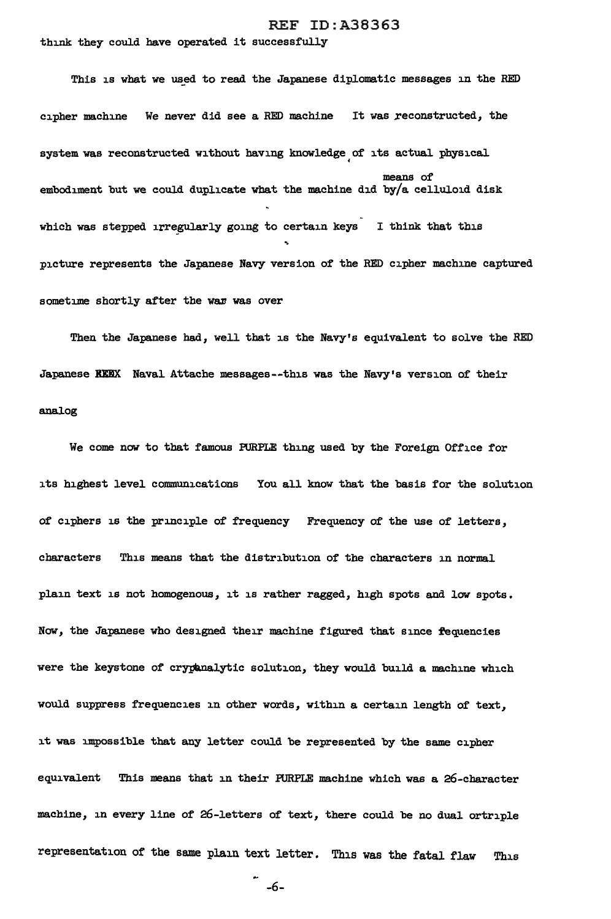think they could have operated it successfully

This is what we used to read the Japanese diplomatic messages in the RED cipher machine We never did see a RED machine It was reconstructed, the system was reconstructed without having knowledge of its actual physical • means of embodiment but we could duplicate what the machine did by/a celluloid disk which was stepped irregularly going to certain keys I think that this -. picture represents the Japanese Navy version of the RED cipher machine captured sometime shortly after the war was over

Then the Japanese had, well that is the Navy's equivalent to solve the RED Japanese KKEX Naval Attache messages--this was the Navy's version of their analog

We come now to that famous PURPLE thing used by the Foreign Office for its highest level communications You all know that the basis for the solution of ciphers is the principle of frequency Frequency of the use of letters, characters This means that the distribution of the characters in normal plain text is not homogenous, it is rather ragged, high spots and low spots. Now, the Japanese who designed their machine figured that since fequencies were the keystone of crypanalytic solution, they would build a machine which would suppress frequencies in other words, within a certain length of text, it was impossible that any letter could be represented by the same cipher equivalent This means that in their PURPLE machine which was a 26-character machine, in every line of 26-letters of text, there could be no dual ortriple representation of the same plain text letter. This was the fatal flaw This

-6-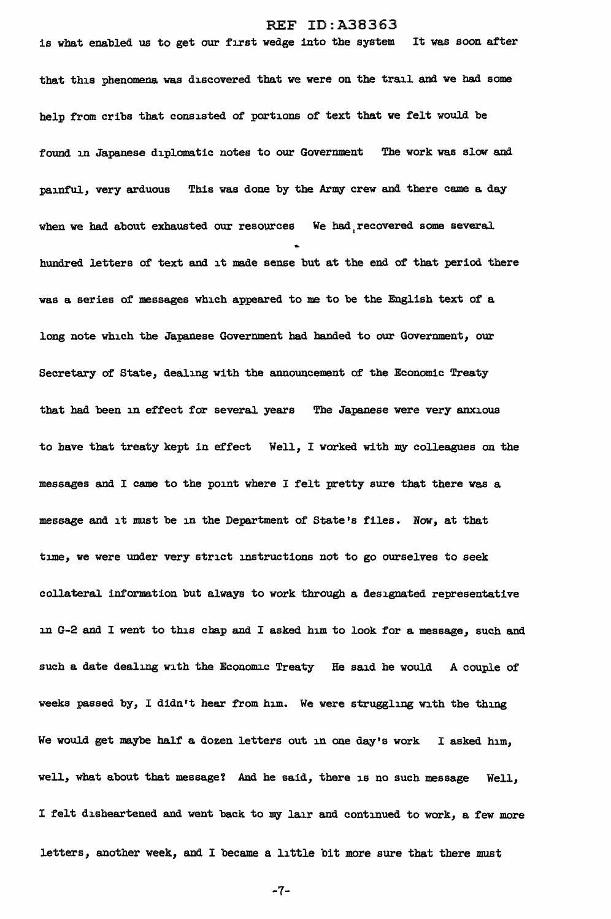is what enabled us to get our first wedge into the system It was soon after that this phenomena was discovered that we were on the trail and we had some help from cribs that consisted of portions of text that we felt would be found in Japanese diplomatic notes to our Government The work was slow and painful, very arduous This was done by the Army crew and there came a day when we had about exhausted our resources We had recovered some several hundred letters of text and it made sense but at the end of that period there was a series of messages which appeared to me to be the English text of a long note which the Japanese Government had banded to our Government, our Secretary of State, dealing with the announcement of the Economic Treaty that had been in effect for several years The Japanese were very anxious to have that treaty kept in effect Well, I worked with my colleagues on the messages and I came to the point where I felt pretty sure that there was a message and it must be in the Department of State's files. Now, at that time, we were under very strict instructions not to go ourselves to seek collateral. information but always to work through a designated representative in G-2 and I went to this chap and I asked him to look for a message, such and such a date dealing with the Economic Treaty He said he would A couple of weeks passed by, I didn't hear from him. We were struggling with the thing We would get maybe half a dozen letters out in one day's work I asked him, well, what about that message? And he said, there is no such message Well, I felt disheartened and went back to my lair and continued to work, a few more letters, another week, and I became a little bit more sure that there must

-7-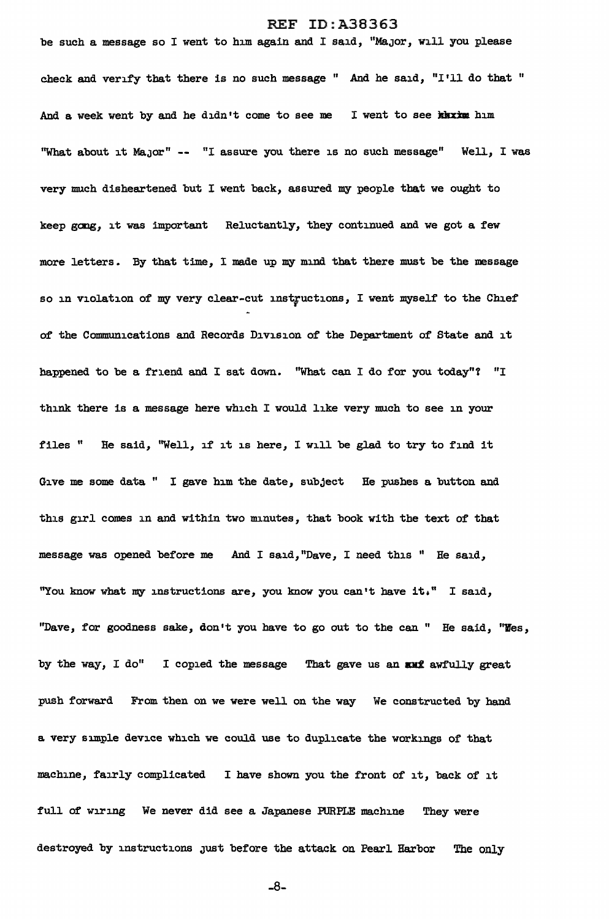be such a message so I went to him again and I said, "MaJor, will you please check and verify that there is no such message " And he said, "I'll do that " And a week went by and he didn't come to see me I went to see kaxxm him "What about it MaJor" -- "I assure you there is no such message" Well, I was very much disheartened but I went back, assured my people that we ought to keep gong, it was important Reluctantly, they continued and we got a few more letters. By that time, I made up my mind that there must be the message so in violation of my very clear-cut instructions, I went myself to the Chief of the Communications and Records Division of the Department of State and it happened to be a friend and I sat down. "What can I do for you today"? "I think there is a message here which I would like very much to see in your files " He said, "Well, if' it is here, I will be glad to try to find it Give me some data " I gave him the date, subject He pushes a button and this girl comes in and within two minutes, that book with the text of that message was opened before me And I said,"Dave, I need this " He said, "You know what my instructions are, you know you can't have it," I said, "Dave, for goodness sake, don•t you have to go out to the can " He said, "Yes, by the way, I do" I copied the message That gave us an  $\text{and}$  awfully great push forward From then on we were well on the way We constructed by hand a very simple device which *we* could use to duplicate the workings of that machine, fairly complicated I have shown you the front of it, back of it full of wiring We never did see a Japanese PURPLE machine They were destroyed by instructions Just before the attack on Pearl Harbor The only

-8-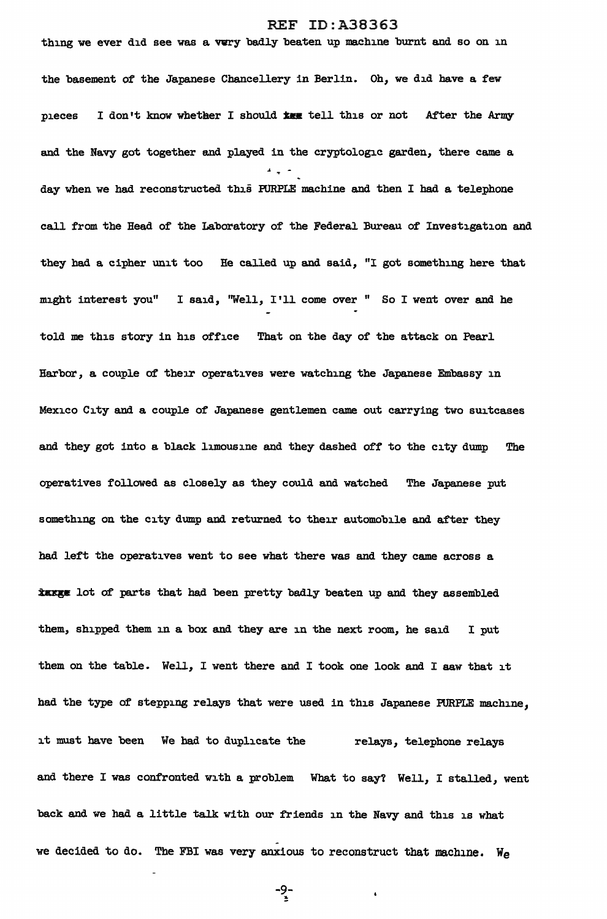thing we ever did see was a very badly beaten up machine burnt and so on in the basement of the Japanese Chancellery in Berlin. Oh, we did have a few pieces I don't know whether I should  $x_{xx}$  tell this or not After the Army and the Navy got together and played in the cryptologic garden, there came a .. day when we had reconstructed this PURPLE machine and then I had a telephone call from the Head of the Laboratory of the Federal Bureau of Investigation and they had a cipher unit too He called up and said, "I got something here that might interest you" I said, "Well, I'll come over " So I went over and he told me this story in his office That on the day of the attack on Pearl Harbor, a couple of their operatives were watching the Japanese Embassy in Mexico City and a couple of Japanese gentlemen came out carrying two suitcases and they got into a black limousine and they dashed *oft* to the city dump The operatives followed as closely as they could and watched The Japanese put something on the city dump and returned to their automobile and after they had left the operatives went to see what there was and they came across a *\*xxx* lot of parts that had been pretty badly beaten up and they assembled them, shipped them in a box and they are in the next room, he said I put them on the table. Well, I went there and I took one look and I aaw that it had the type of stepping relays that *were* used in this Japanese PURPLE machine, it must have been We had to duplicate the relays, telephone relays and there I was confronted with a problem What to say? Well, I stalled, went back and *we* had a little talk with our friends in the Navy and this is what we decided to do. The FBI was very anxious to reconstruct that machine. We

-9-<br>\*

 $\ddot{\bullet}$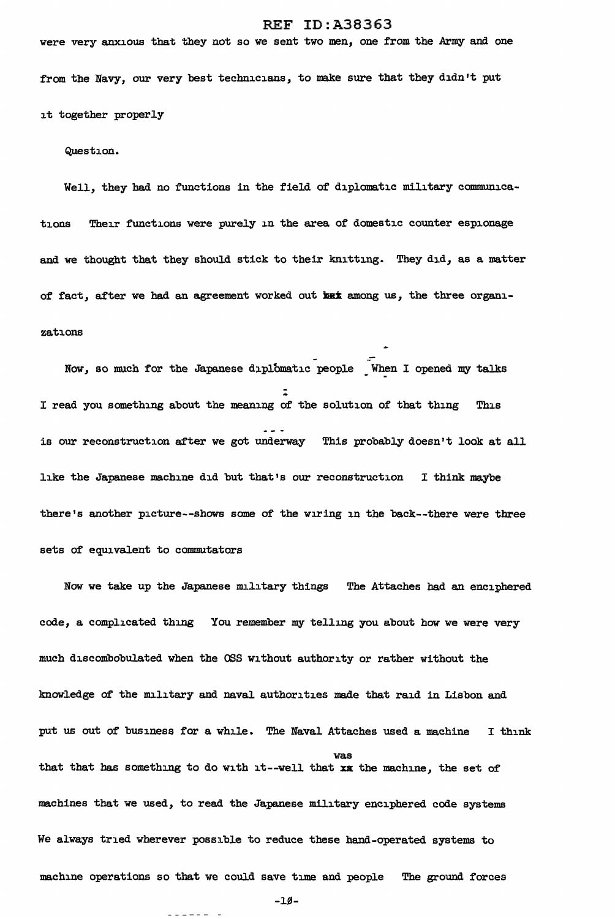were very anxious that they not so we sent two men, one from the Army and one

from the Navy, our very best technicians, to make sure that they didn't put it together properly

Question.

Well, they had no functions in the field of diplomatic military communications Their functions were purely in the area of domestic counter espionage and we thought that they should stick to their knitting. They did, as a matter of fact, after we had an agreement worked out het among us, the three organizations

Now, so much for the Japanese diplomatic people When I opened my talks .. - I read you something about the meaning of the solution of that thing This is our reconstruction after we got underway This probably doesn't look at all like the Japanese machine did but that's our reconstruction I think maybe there's another picture--shows some of the wiring in the back--there were three sets of equivalent to commutators

Now we take up the Japanese military things The Attaches had an enciphered code, a complicated thing You remember my telling you about how we were very much discombobulated when the OSS without authority or rather without the knowledge of the military and naval authorities made that raid in Lisbon and put us out of business for a while. The Naval Attaches used a machine I think was that that has something to do with it--well that xx the machine, the set of machines that we used, to read the Japanese military enciphered code systems We always tried wherever possible to reduce these hand-operated systems to machine operations so that we could save time and people The ground forces

-1~-

------ -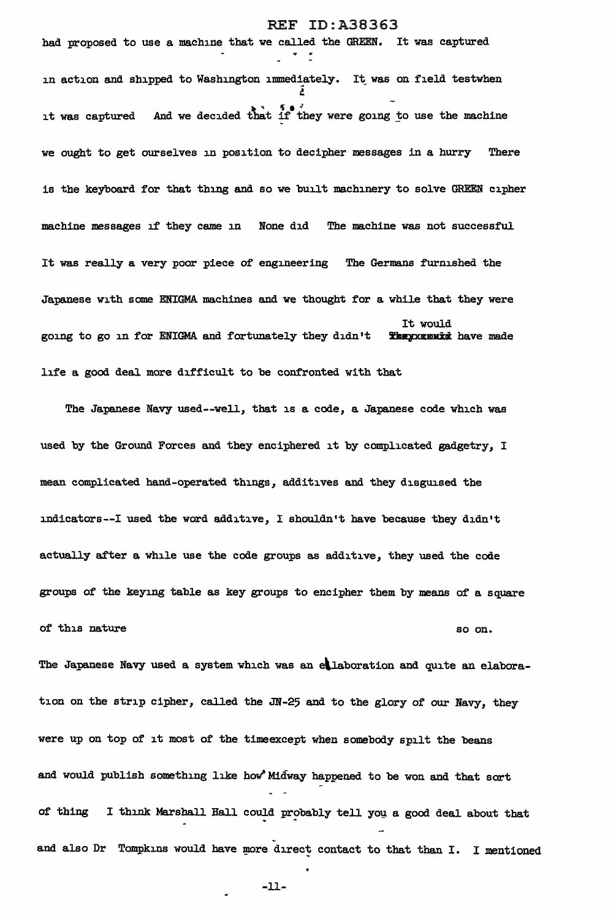had proposed to use a machine that we called the GREEN. It was captured in action and shipped to Washington immediately. It was on field testwhen A .<br>. . . . . . it was captured And we decided that if they were going to use the machine we ought to get ourselves in position to decipher messages in a hurry There is the keyboard for that thing and so we built machinery to solve GREEN cipher machine messages if they came in None did The machine was not successful It was really a very poor piece of engineering The Germans furnished the Japanese with some ENIGMA machines and we thought for a while that they were<br>It would<br>going to go in for ENIGMA and fortunately they didn't **Theyxgentd** have made It would<br>**Theyxgenid** have made life a good deal more difficult to be confronted with that

The Japanese Navy used--well, that is a code, a Japanese code which was used by the Ground Forces and they enciphered it by complicated gadgetry, I mean complicated hand-operated things, additives and they disguised the indicators--! used the word additive, I shouldn't have because they didn't actually after a while use the code groups as additive, they used the code groups of the keying table as key groups to encipher them by means of a square of this nature so on.

The Japanese Navy used a system which was an ellaboration and quite an elaboration on the strip cipher, called the JN-25 and to the glory of our Navy, they were up on top of it most of the timeexcept when somebody spilt the beans and would publish something like how' Midway happened to be won and that sort of thing I think Marshall Hall could probably tell you a good deal about that and also Dr Tompkins would have more direct contact to that than I. I mentioned

-11-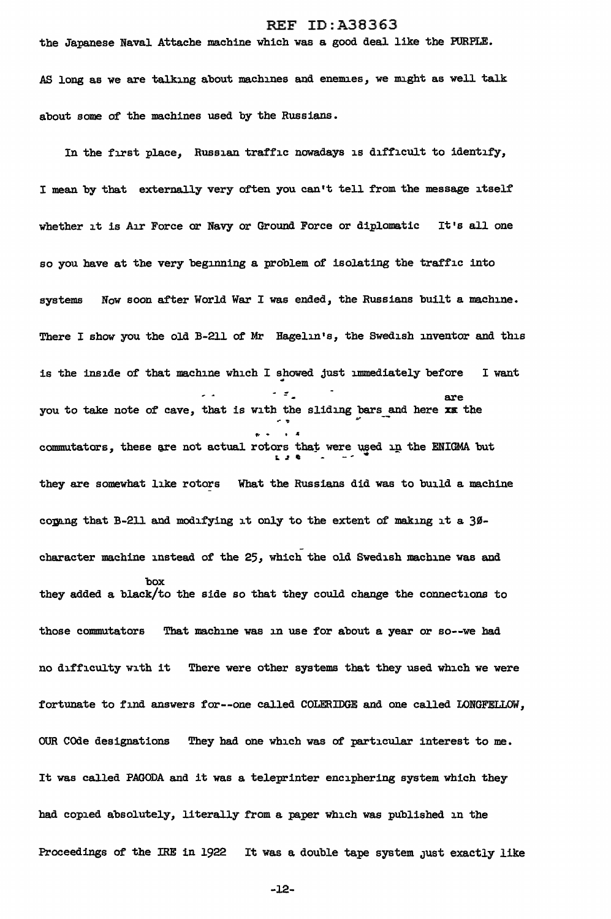the Japanese Naval Attache machine which was a good deal like the PURPLE.

AS long as we are talking about machines and enemies, we might as well talk about some of the machines used by the Russians.

In the first place, Russian traffic nowadays is difficult to identify, <sup>I</sup>mean by that externally very often you can't tell from the message itself whether it is Air Force or Navy or Ground Force or diplomatic It's all one so you have at the very beginning a problem of isolating the traffic into systems Now soon after World War I was ended, the Russians built a machine. There I show you the old B-211 of Mr Hagelin's, the Swedish inventor and this is the inside of that machine which I showed just immediately before I want  $\overline{z}$  are are you to take note of cave, that is with the sliding bars and here xx the commutators, these are not actual rotors that were used in the ENIGMA but they are somewhat like rotors What the Russians did was to build a machine coping that B-211 and modifying it only to the extent of making it a  $30$ character machine instead of the 25, which the old Swedish machine was and box they added a black/to the side so that they could change the connections to those commutators That machine was in use for about a year or so--we had no difficulty with it There were other systems that they used which we were fortunate to find answers for--one called COLERIDGE and one called LONGFELLOW, OUR COde designations They had one which was of particular interest to me. It was called PAGODA and it was a teleprinter enciphering system which they had copied absolutely, literally from a paper which was published in the Proceedings of the IRE in 1922 It was a double tape system just exactly like

-12-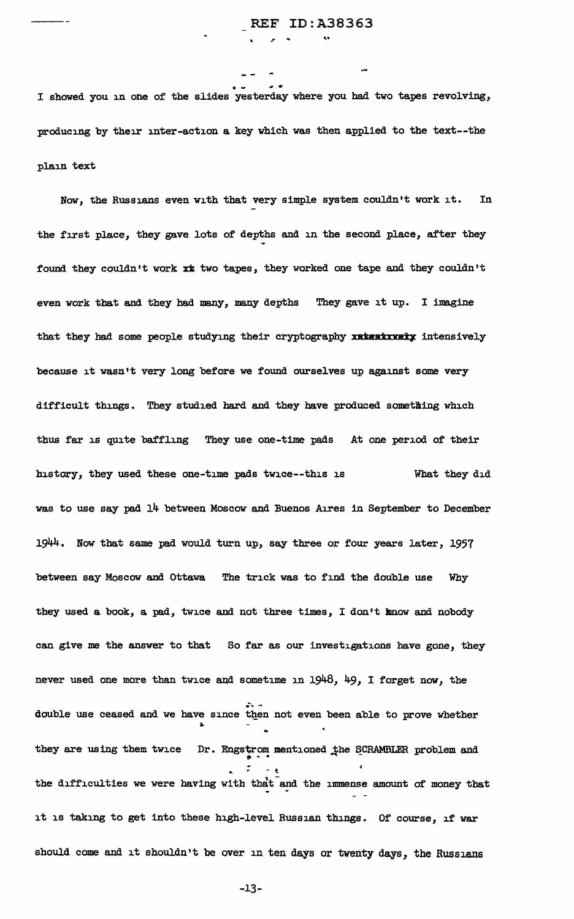I showed you in one of the slides yesterday where you had two tapes revolving, producing by their inter-action a key which was then applied to the text--the plain text

Now, the Russians even with that very simple system couldn't work it. In the first place, they gave lots of depths and in the second place, after they found they couldn't work xx two tapes, they worked one tape and they couldn't even work that and they had many, many depths They gave it up. I imagine that they had some people studying their cryptography xutentxxety intensively because it wasn't very long before we found ourselves up against some very difficult things. They studied hard and they have produced something which thus far is quite baffling They use one-time pads At one period of their history, they used these one-time pads twice--this is What they did was to use say pad 14 between Moscow and Buenos Aires in September to December 1944. Now that same pad would turn up, say three or four years later, 1957 between say Moscow and Ottawa The trick was to find the double use Why they used a book, a pad, twice and not three times, I don't know and nobody can give me the answer to that So far as our investigations have gone, they never used one more than twice and sometime in 1948, 49, I forget now, the double use ceased and we have since then not even been able to prove whether they are using them twice Dr. Engstrom mentioned the SCRAMBLER problem and the difficulties we were having with that and the immense amount of money that it is taking to get into these high-level Russian things. Of course, if war should come and it shouldn't be over in ten days or twenty days, the Russians

-13-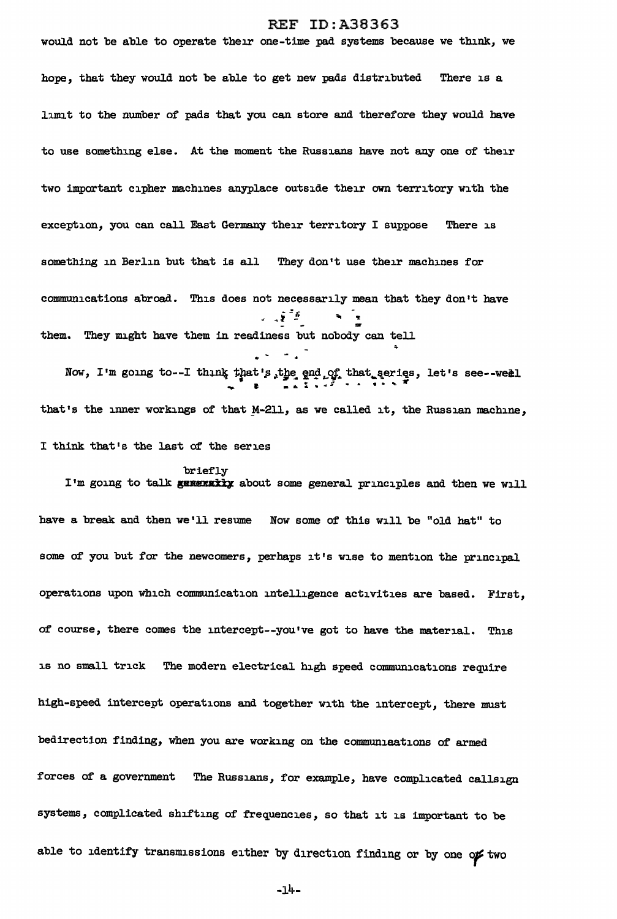would not be able to operate their one-time pad systems because we think, *we*  hope, that they would not be able to get new pads distributed There is a limit to the number of pads that you. can store and therefore they would have to use something else. At the moment the Russians have not any one of their two important cipher machines anyplace outside their own territory with the exception, you can call East Germany their territory I suppose There is something in Berlin but that is all They don't use their machines for communications abroad. This does not necessarily mean that they don't have  $\mathcal{L} = \mathcal{L} \mathcal{L}$ them. They might have them in readiness but nobody can tell

Now, I'm going to--I think that's the end of that series, let's see--weil that's the inner workings of that  $M-211$ , as we called it, the Russian machine, I think that's the last of the series

briefly

I'm going to talk generally about some general principles and then we will have a break and then we'll resume Now some of this will be "old hat" to some of you but for the newcomers, perhaps it's wise to mention the principal operations upon which communication intelligence activities are based. First, of' course, there comes the intercept--you•ve got to have the material. This is no small trick The modern electrical high speed communications require high-speed intercept operations and together with the intercept, there must bedirection finding, when you are working on the communications of armed forces of a government The Russians, for example, have complicated callsign systems, complicated shifting of frequencies, so that it is important to be able to identify transmissions either by direction finding or by one of two

-l4-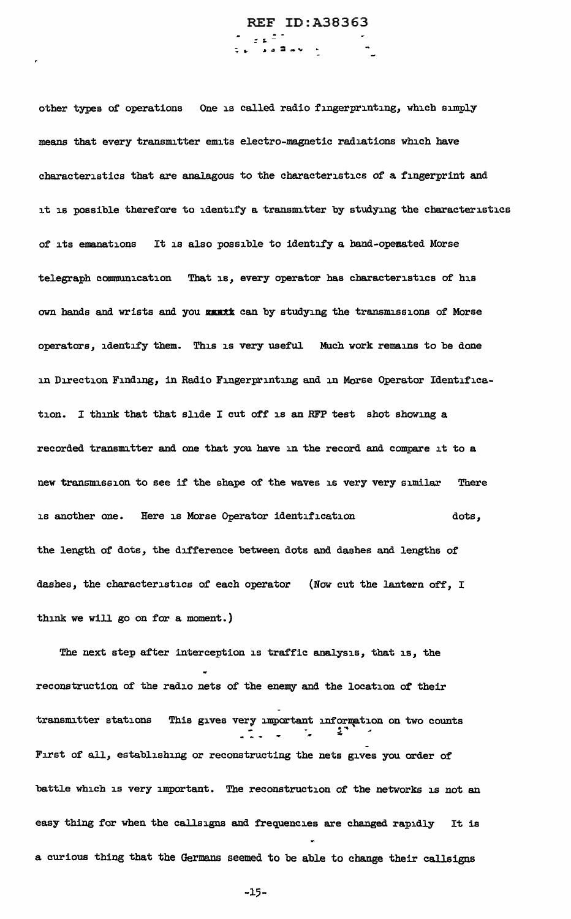REF ID:A38363 **E a 2** av +

other types of operations One is called radio fingerprinting, which simply means that every transmitter emits electro-magnetic radiations which have characteristics that are analagous to the characteristics of a fingerprint and it is possible therefore to identify a transmitter by studying the characteristics of its emanations It is also possible to identify a hand-operated Morse telegraph communication That is, every operator has characteristics or his own hands and wrists and you wantt can by studying the transmissions of Morse operators, identify them. This is very useful Much work remains to be done in Direction Finding, in Radio Fingerprinting and in Morse Operator Identification. I think that that slide I cut off is an RFP test shot showing a recorded transmitter and one that you have in the record and compare it to a new transmission to see if the shape of the waves is very very similar There is another one. Here is Morse Operator identification dots, the length of dots, the difference between dots and dashes and lengths of dashes, the characteristics of each operator (Now cut the lantern off, I think we will go on for a moment.)

The next step after interception is traffic analysis, that is, the reconstruction of the radio nets of the enemy and the location of their transmitter stations This gives very important information on two counts "' First of all, establishing or reconstructing the nets gives you order of battle which is very important. The reconstruction of the networks is not an easy thing for when the callsigns and frequencies are changed rapidly It is a curious thing that the Germans seemed to be able to change their callsigns

-15-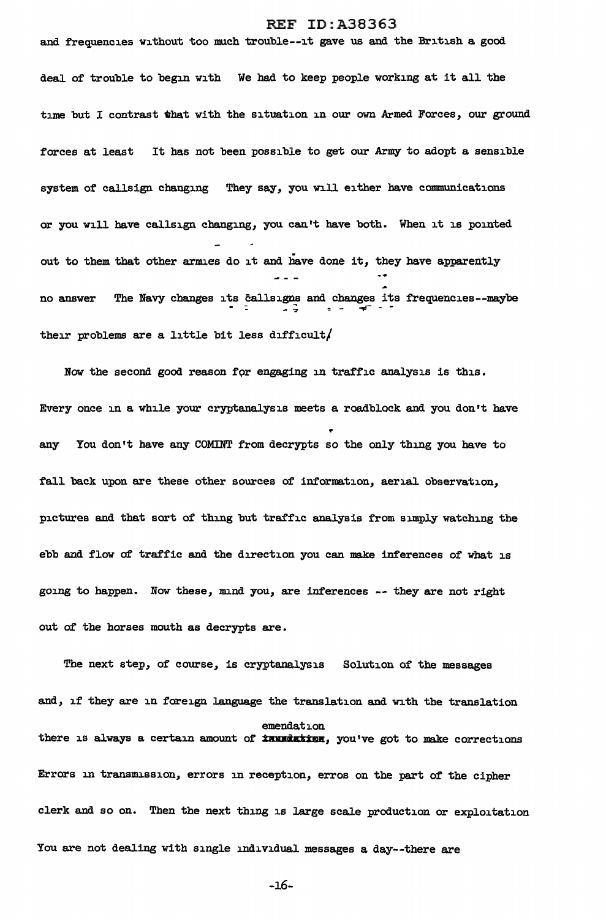and frequencies without too much trouble--it gave us and the British a good deal of trouble to begin with We had to keep people working at it all the time but I contrast that with the situation in our own Armed Forces, our ground forces at least It has not been possible to get our Army to adopt a sensible system of callsign changing They say, you will either have communications or you will have callsign changing, you can't have both. When it is pointed out to them that other arm.es do it and have done it, they have apparently no answer The Navy changes its callsigns and changes its frequencies--maybe their problems are a little bit less difficult/

Now the second good reason for engaging in traffic analysis is this. Every once in a while your cryptanalysis meets a roadblock and you don't have any You don't have any COMINT from decrypts so the only thing you have to fall back upon are these other sources of information, aerial observation, pictures and that sort of thing but traffic analysis from simply watching the ebb and flow of traffic and the direction you can make inferences of what is going to happen. Now these, mnd you, are inferences -- they are not right out of the horses mouth as decrypts are.

The next step, of course, is cryptanalysis Solution of the messages and, if they are in foreign language the translation and with the translation emendation there is always a certain amount of **Innadation**, you've got to make corrections Errors in transmission, errors in reception, erros on the part of the cipher clerk and so on. Then the next thing is large scale production or exploitation You are not dealing with single individual messages a day--there are

-16-